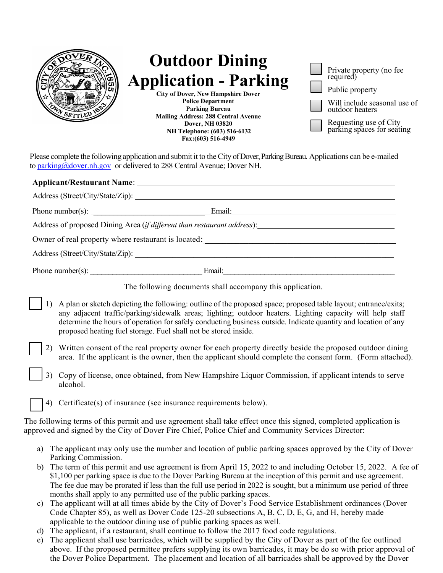| ED<br><b>Outdoor Dining</b><br><b>Application - Parking</b><br><b>City of Dover, New Hampshire Dover</b><br><b>Police Department</b><br><b>Parking Bureau</b><br><b>Mailing Address: 288 Central Avenue</b><br><b>Dover, NH 03820</b><br>NH Telephone: (603) 516-6132<br>Fax: (603) 516-4949 | Private property (no fee<br>required)<br>Public property<br>Will include seasonal use of<br>outdoor heaters<br>Requesting use of City<br>parking spaces for seating |
|----------------------------------------------------------------------------------------------------------------------------------------------------------------------------------------------------------------------------------------------------------------------------------------------|---------------------------------------------------------------------------------------------------------------------------------------------------------------------|
|----------------------------------------------------------------------------------------------------------------------------------------------------------------------------------------------------------------------------------------------------------------------------------------------|---------------------------------------------------------------------------------------------------------------------------------------------------------------------|

Please complete the following application and submit it to theCity of Dover, Parking Bureau. Applications can be e-mailed to [parking@dover.nh.gov](mailto:parking@dover.nh.gov) or delivered to 288 Central Avenue; Dover NH.

| Owner of real property where restaurant is located: Notice 1978 and the set of real property where restaurant is located:                                                                                                                                                                                                                                                                                         |  |  |  |  |
|-------------------------------------------------------------------------------------------------------------------------------------------------------------------------------------------------------------------------------------------------------------------------------------------------------------------------------------------------------------------------------------------------------------------|--|--|--|--|
|                                                                                                                                                                                                                                                                                                                                                                                                                   |  |  |  |  |
|                                                                                                                                                                                                                                                                                                                                                                                                                   |  |  |  |  |
| The following documents shall accompany this application.                                                                                                                                                                                                                                                                                                                                                         |  |  |  |  |
| A plan or sketch depicting the following: outline of the proposed space; proposed table layout; entrance/exits;<br>any adjacent traffic/parking/sidewalk areas; lighting; outdoor heaters. Lighting capacity will help staff<br>determine the hours of operation for safely conducting business outside. Indicate quantity and location of any<br>proposed heating fuel storage. Fuel shall not be stored inside. |  |  |  |  |
| Written consent of the real property owner for each property directly beside the proposed outdoor dining<br>area. If the applicant is the owner, then the applicant should complete the consent form. (Form attached).                                                                                                                                                                                            |  |  |  |  |
| Copy of license, once obtained, from New Hampshire Liquor Commission, if applicant intends to serve<br>alcohol.                                                                                                                                                                                                                                                                                                   |  |  |  |  |
| Certificate(s) of insurance (see insurance requirements below).<br>4)                                                                                                                                                                                                                                                                                                                                             |  |  |  |  |

The following terms of this permit and use agreement shall take effect once this signed, completed application is approved and signed by the City of Dover Fire Chief, Police Chief and Community Services Director:

- a) The applicant may only use the number and location of public parking spaces approved by the City of Dover Parking Commission.
- b) The term of this permit and use agreement is from April 15, 2022 to and including October 15, 2022. A fee of \$1,100 per parking space is due to the Dover Parking Bureau at the inception of this permit and use agreement. The fee due may be prorated if less than the full use period in 2022 is sought, but a minimum use period of three months shall apply to any permitted use of the public parking spaces.
- c) The applicant will at all times abide by the City of Dover's Food Service Establishment ordinances (Dover Code Chapter 85), as well as Dover Code 125-20 subsections A, B, C, D, E, G, and H, hereby made applicable to the outdoor dining use of public parking spaces as well.
- d) The applicant, if a restaurant, shall continue to follow the 2017 food code regulations.
- e) The applicant shall use barricades, which will be supplied by the City of Dover as part of the fee outlined above. If the proposed permittee prefers supplying its own barricades, it may be do so with prior approval of the Dover Police Department. The placement and location of all barricades shall be approved by the Dover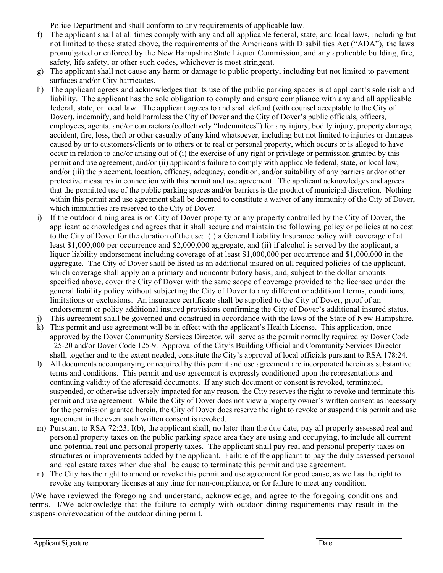Police Department and shall conform to any requirements of applicable law.

- f) The applicant shall at all times comply with any and all applicable federal, state, and local laws, including but not limited to those stated above, the requirements of the Americans with Disabilities Act ("ADA"), the laws promulgated or enforced by the New Hampshire State Liquor Commission, and any applicable building, fire, safety, life safety, or other such codes, whichever is most stringent.
- g) The applicant shall not cause any harm or damage to public property, including but not limited to pavement surfaces and/or City barricades.
- h) The applicant agrees and acknowledges that its use of the public parking spaces is at applicant's sole risk and liability. The applicant has the sole obligation to comply and ensure compliance with any and all applicable federal, state, or local law. The applicant agrees to and shall defend (with counsel acceptable to the City of Dover), indemnify, and hold harmless the City of Dover and the City of Dover's public officials, officers, employees, agents, and/or contractors (collectively "Indemnitees") for any injury, bodily injury, property damage, accident, fire, loss, theft or other casualty of any kind whatsoever, including but not limited to injuries or damages caused by or to customers/clients or to others or to real or personal property, which occurs or is alleged to have occur in relation to and/or arising out of (i) the exercise of any right or privilege or permission granted by this permit and use agreement; and/or (ii) applicant's failure to comply with applicable federal, state, or local law, and/or (iii) the placement, location, efficacy, adequacy, condition, and/or suitability of any barriers and/or other protective measures in connection with this permit and use agreement. The applicant acknowledges and agrees that the permitted use of the public parking spaces and/or barriers is the product of municipal discretion. Nothing within this permit and use agreement shall be deemed to constitute a waiver of any immunity of the City of Dover, which immunities are reserved to the City of Dover.
- i) If the outdoor dining area is on City of Dover property or any property controlled by the City of Dover, the applicant acknowledges and agrees that it shall secure and maintain the following policy or policies at no cost to the City of Dover for the duration of the use: (i) a General Liability Insurance policy with coverage of at least \$1,000,000 per occurrence and \$2,000,000 aggregate, and (ii) if alcohol is served by the applicant, a liquor liability endorsement including coverage of at least \$1,000,000 per occurrence and \$1,000,000 in the aggregate. The City of Dover shall be listed as an additional insured on all required policies of the applicant, which coverage shall apply on a primary and noncontributory basis, and, subject to the dollar amounts specified above, cover the City of Dover with the same scope of coverage provided to the licensee under the general liability policy without subjecting the City of Dover to any different or additional terms, conditions, limitations or exclusions. An insurance certificate shall be supplied to the City of Dover, proof of an endorsement or policy additional insured provisions confirming the City of Dover's additional insured status.
- j) This agreement shall be governed and construed in accordance with the laws of the State of New Hampshire.
- k) This permit and use agreement will be in effect with the applicant's Health License. This application, once approved by the Dover Community Services Director, will serve as the permit normally required by Dover Code 125-20 and/or Dover Code 125-9. Approval of the City's Building Official and Community Services Director shall, together and to the extent needed, constitute the City's approval of local officials pursuant to RSA 178:24.
- l) All documents accompanying or required by this permit and use agreement are incorporated herein as substantive terms and conditions. This permit and use agreement is expressly conditioned upon the representations and continuing validity of the aforesaid documents. If any such document or consent is revoked, terminated, suspended, or otherwise adversely impacted for any reason, the City reserves the right to revoke and terminate this permit and use agreement. While the City of Dover does not view a property owner's written consent as necessary for the permission granted herein, the City of Dover does reserve the right to revoke or suspend this permit and use agreement in the event such written consent is revoked.
- m) Pursuant to RSA 72:23, I(b), the applicant shall, no later than the due date, pay all properly assessed real and personal property taxes on the public parking space area they are using and occupying, to include all current and potential real and personal property taxes. The applicant shall pay real and personal property taxes on structures or improvements added by the applicant. Failure of the applicant to pay the duly assessed personal and real estate taxes when due shall be cause to terminate this permit and use agreement.
- n) The City has the right to amend or revoke this permit and use agreement for good cause, as well as the right to revoke any temporary licenses at any time for non-compliance, or for failure to meet any condition.

I/We have reviewed the foregoing and understand, acknowledge, and agree to the foregoing conditions and terms. I/We acknowledge that the failure to comply with outdoor dining requirements may result in the suspension/revocation of the outdoor dining permit.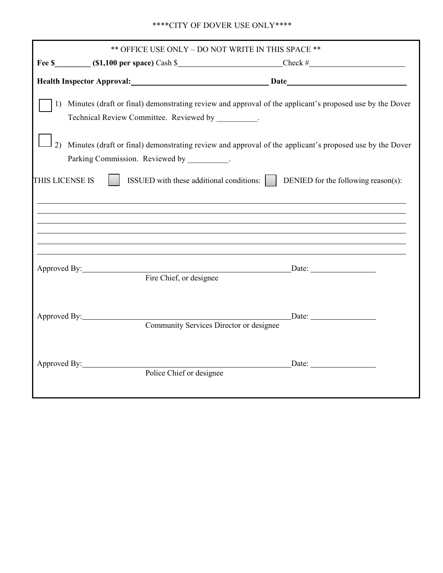## \*\*\*\*CITY OF DOVER USE ONLY\*\*\*\*

| ** OFFICE USE ONLY - DO NOT WRITE IN THIS SPACE ** |                                                      |  |                                                                                                                                                                      |
|----------------------------------------------------|------------------------------------------------------|--|----------------------------------------------------------------------------------------------------------------------------------------------------------------------|
|                                                    |                                                      |  |                                                                                                                                                                      |
|                                                    |                                                      |  | Health Inspector Approval: Date Date Date                                                                                                                            |
|                                                    | Technical Review Committee. Reviewed by ________.    |  | 1) Minutes (draft or final) demonstrating review and approval of the applicant's proposed use by the Dover                                                           |
|                                                    | Parking Commission. Reviewed by _________.           |  | 2) Minutes (draft or final) demonstrating review and approval of the applicant's proposed use by the Dover                                                           |
| THIS LICENSE IS                                    |                                                      |  | <b>SOMED</b> with these additional conditions: <b>DENIED</b> for the following reason(s):                                                                            |
|                                                    |                                                      |  |                                                                                                                                                                      |
|                                                    |                                                      |  | ,我们也不能在这里的时候,我们也不能在这里的时候,我们也不能会在这里的时候,我们也不能会在这里的时候,我们也不能会在这里的时候,我们也不能会在这里的时候,我们也<br>,我们也不会有什么。""我们的人,我们也不会有什么?""我们的人,我们也不会有什么?""我们的人,我们也不会有什么?""我们的人,我们也不会有什么?""我们的人 |
|                                                    |                                                      |  | ,我们也不会有什么。""我们的人,我们也不会有什么?""我们的人,我们也不会有什么?""我们的人,我们也不会有什么?""我们的人,我们也不会有什么?""我们的人                                                                                     |
|                                                    |                                                      |  |                                                                                                                                                                      |
|                                                    | Approved By: Date: Date: Date:                       |  |                                                                                                                                                                      |
|                                                    |                                                      |  |                                                                                                                                                                      |
|                                                    | Approved By: Community Services Director or designee |  |                                                                                                                                                                      |
|                                                    |                                                      |  |                                                                                                                                                                      |
| Approved By:                                       |                                                      |  | $\sum_{n=1}^{\infty}$ Date:                                                                                                                                          |
|                                                    | Police Chief or designee                             |  |                                                                                                                                                                      |
|                                                    |                                                      |  |                                                                                                                                                                      |